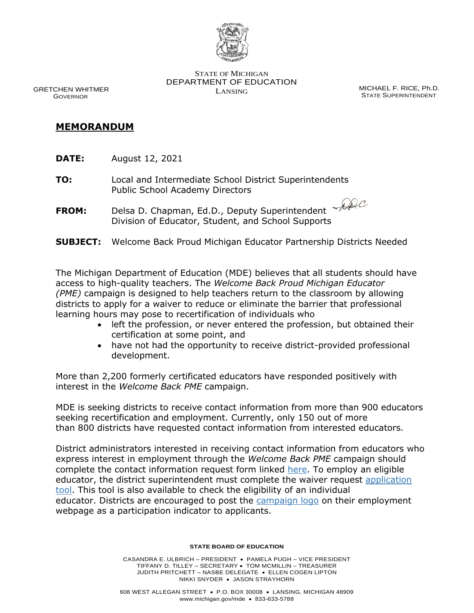

 GRETCHEN WHITMER GOVERNOR

STATE OF MICHIGAN DEPARTMENT OF EDUCATION LANSING MICHAEL F. RICE, Ph.D.

STATE SUPERINTENDENT

## **MEMORANDUM**

- **DATE:** August 12, 2021
- **TO:** Local and Intermediate School District Superintendents Public School Academy Directors
- **FROM:** Delsa D. Chapman, Ed.D., Deputy Superintendent Division of Educator, Student, and School Supports
- **SUBJECT:** Welcome Back Proud Michigan Educator Partnership Districts Needed

The Michigan Department of Education (MDE) believes that all students should have access to high-quality teachers. The *Welcome Back Proud Michigan Educator (PME)* campaign is designed to help teachers return to the classroom by allowing districts to apply for a waiver to reduce or eliminate the barrier that professional learning hours may pose to recertification of individuals who

- left the profession, or never entered the profession, but obtained their certification at some point, and
- have not had the opportunity to receive district-provided professional development.

More than 2,200 formerly certificated educators have responded positively with interest in the *Welcome Back PME* campaign.

MDE is seeking districts to receive contact information from more than 900 educators seeking recertification and employment. Currently, only 150 out of more than 800 districts have requested contact information from interested educators.

District administrators interested in receiving contact information from educators who express interest in employment through the *Welcome Back PME* campaign should complete the contact information request form linked [here.](https://mde.qualtrics.com/jfe/form/SV_bknKSYiXCXMeRJs) To employ an eligible educator, the district superintendent must complete the [waiver request](https://www.michigan.gov/mde/0,4615,7-140-5683_14795_83462-556448--,00.html) application [tool.](https://www.michigan.gov/mde/0,4615,7-140-5683_14795_83462-556448--,00.html) This tool is also available to check the eligibility of an individual educator. Districts are encouraged to post the [campaign logo](https://www.michigan.gov/images/mde/Welcome_Back_Proud_MI_Educator_logo_722094_7.jpg) on their employment webpage as a participation indicator to applicants.

## **STATE BOARD OF EDUCATION**

CASANDRA E. ULBRICH – PRESIDENT • PAMELA PUGH – VICE PRESIDENT TIFFANY D. TILLEY – SECRETARY • TOM MCMILLIN – TREASURER JUDITH PRITCHETT – NASBE DELEGATE • ELLEN COGEN LIPTON NIKKI SNYDER • JASON STRAYHORN